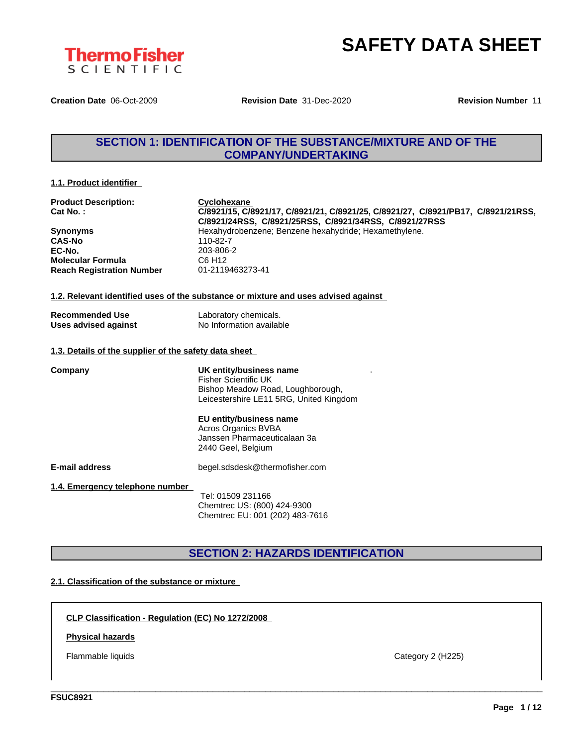

**Creation Date** 06-Oct-2009 **Revision Date** 31-Dec-2020 **Revision Number** 11

## **SECTION 1: IDENTIFICATION OF THE SUBSTANCE/MIXTURE AND OF THE COMPANY/UNDERTAKING**

#### **1.1. Product identifier**

| <b>Product Description:</b><br>Cat No.:               | Cyclohexane<br>C/8921/15, C/8921/17, C/8921/21, C/8921/25, C/8921/27, C/8921/PB17, C/8921/21RSS,<br>C/8921/24RSS, C/8921/25RSS, C/8921/34RSS, C/8921/27RSS |
|-------------------------------------------------------|------------------------------------------------------------------------------------------------------------------------------------------------------------|
| <b>Synonyms</b>                                       | Hexahydrobenzene; Benzene hexahydride; Hexamethylene.                                                                                                      |
| <b>CAS-No</b>                                         | 110-82-7                                                                                                                                                   |
| EC-No.                                                | 203-806-2                                                                                                                                                  |
| <b>Molecular Formula</b>                              | C6 H <sub>12</sub>                                                                                                                                         |
| <b>Reach Registration Number</b>                      | 01-2119463273-41                                                                                                                                           |
|                                                       | 1.2. Relevant identified uses of the substance or mixture and uses advised against                                                                         |
| <b>Recommended Use</b>                                | Laboratory chemicals.                                                                                                                                      |
| <b>Uses advised against</b>                           | No Information available                                                                                                                                   |
|                                                       |                                                                                                                                                            |
| 1.3. Details of the supplier of the safety data sheet |                                                                                                                                                            |
| Company                                               | UK entity/business name                                                                                                                                    |
|                                                       | <b>Fisher Scientific UK</b>                                                                                                                                |
|                                                       | Bishop Meadow Road, Loughborough,                                                                                                                          |
|                                                       | Leicestershire LE11 5RG, United Kingdom                                                                                                                    |
|                                                       | EU entity/business name                                                                                                                                    |
|                                                       | <b>Acros Organics BVBA</b>                                                                                                                                 |
|                                                       | Janssen Pharmaceuticalaan 3a                                                                                                                               |
|                                                       | 2440 Geel, Belgium                                                                                                                                         |
| <b>E-mail address</b>                                 | begel.sdsdesk@thermofisher.com                                                                                                                             |
| 1.4. Emergency telephone number                       |                                                                                                                                                            |
|                                                       | Tel: 01509 231166                                                                                                                                          |

Chemtrec US: (800) 424-9300 Chemtrec EU: 001 (202) 483-7616

## **SECTION 2: HAZARDS IDENTIFICATION**

\_\_\_\_\_\_\_\_\_\_\_\_\_\_\_\_\_\_\_\_\_\_\_\_\_\_\_\_\_\_\_\_\_\_\_\_\_\_\_\_\_\_\_\_\_\_\_\_\_\_\_\_\_\_\_\_\_\_\_\_\_\_\_\_\_\_\_\_\_\_\_\_\_\_\_\_\_\_\_\_\_\_\_\_\_\_\_\_\_\_\_\_\_\_

#### **2.1. Classification of the substance or mixture**

**CLP Classification - Regulation (EC) No 1272/2008**

#### **Physical hazards**

Flammable liquids **Category 2** (H225)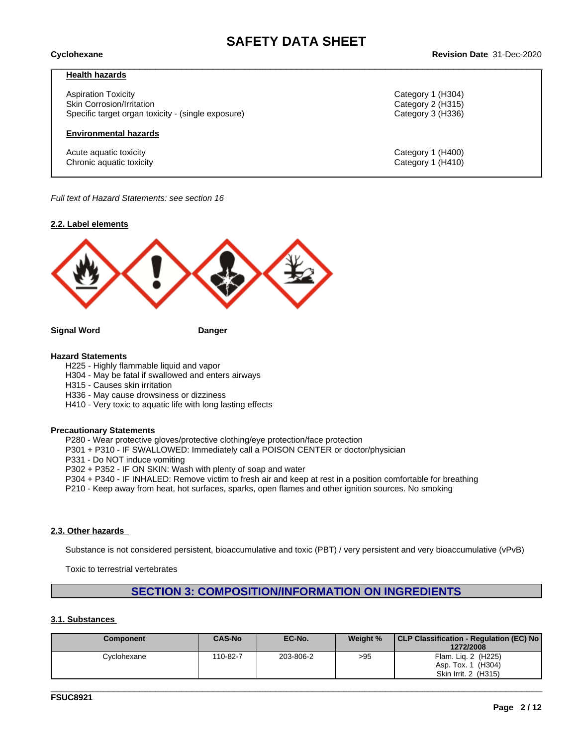#### **Health hazards**

Aspiration Toxicity Category 1 (H304) Skin Corrosion/Irritation **Category 2 (H315)** Category 2 (H315) Specific target organ toxicity - (single exposure) Category 3 (H336)

#### **Environmental hazards**

Acute aquatic toxicity **Category 1** (H400) Chronic aquatic toxicity Category 1 (H410)

*Full text of Hazard Statements: see section 16*

#### **2.2. Label elements**



**Signal Word Danger**

#### **Hazard Statements**

H225 - Highly flammable liquid and vapor

H304 - May be fatal if swallowed and enters airways

H315 - Causes skin irritation

H336 - May cause drowsiness or dizziness

H410 - Very toxic to aquatic life with long lasting effects

#### **Precautionary Statements**

P280 - Wear protective gloves/protective clothing/eye protection/face protection

P301 + P310 - IF SWALLOWED: Immediately call a POISON CENTER or doctor/physician

P331 - Do NOT induce vomiting

P302 + P352 - IF ON SKIN: Wash with plenty of soap and water

P304 + P340 - IF INHALED: Remove victim to fresh air and keep at rest in a position comfortable for breathing

P210 - Keep away from heat, hot surfaces, sparks, open flames and other ignition sources. No smoking

#### **2.3. Other hazards**

Substance is not considered persistent, bioaccumulative and toxic (PBT) / very persistent and very bioaccumulative (vPvB)

Toxic to terrestrial vertebrates

# **SECTION 3: COMPOSITION/INFORMATION ON INGREDIENTS**

#### **3.1. Substances**

| <b>Component</b> | <b>CAS-No</b> | EC-No.    | Weight % | CLP Classification - Regulation (EC) No<br>1272/2008              |
|------------------|---------------|-----------|----------|-------------------------------------------------------------------|
| Cyclohexane      | 110-82-7      | 203-806-2 | >95      | Flam. Lig. 2 (H225)<br>Asp. Tox. 1 (H304)<br>Skin Irrit. 2 (H315) |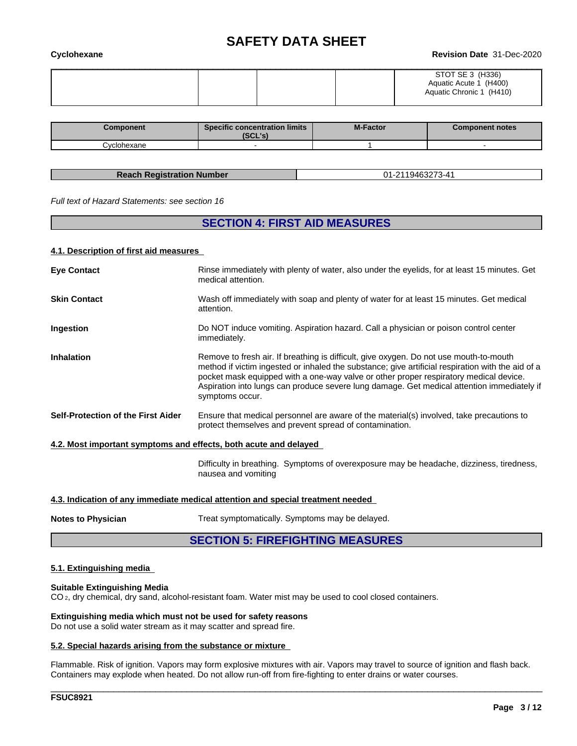| Cyclohexane | <b>Revision Date 31-Dec-2020</b>                                       |
|-------------|------------------------------------------------------------------------|
|             | STOT SE 3 (H336)<br>Aquatic Acute 1 (H400)<br>Aquatic Chronic 1 (H410) |

| Component   | <b>Specific concentration limits</b><br>(0.011)<br>こしし こ | <b>M-Factor</b> | <b>Component notes</b> |
|-------------|----------------------------------------------------------|-----------------|------------------------|
| :vclohexane |                                                          |                 |                        |

| <b>Reach Registration Number</b> | 01-2119463273-41 |
|----------------------------------|------------------|

*Full text of Hazard Statements: see section 16*

### **SECTION 4: FIRST AID MEASURES**

#### **4.1. Description of first aid measures**

| <b>Eye Contact</b>                                               | Rinse immediately with plenty of water, also under the eyelids, for at least 15 minutes. Get<br>medical attention.                                                                                                                                                                                                                                                                                    |
|------------------------------------------------------------------|-------------------------------------------------------------------------------------------------------------------------------------------------------------------------------------------------------------------------------------------------------------------------------------------------------------------------------------------------------------------------------------------------------|
| <b>Skin Contact</b>                                              | Wash off immediately with soap and plenty of water for at least 15 minutes. Get medical<br>attention.                                                                                                                                                                                                                                                                                                 |
| Ingestion                                                        | Do NOT induce vomiting. Aspiration hazard. Call a physician or poison control center<br>immediately.                                                                                                                                                                                                                                                                                                  |
| <b>Inhalation</b>                                                | Remove to fresh air. If breathing is difficult, give oxygen. Do not use mouth-to-mouth<br>method if victim ingested or inhaled the substance; give artificial respiration with the aid of a<br>pocket mask equipped with a one-way valve or other proper respiratory medical device.<br>Aspiration into lungs can produce severe lung damage. Get medical attention immediately if<br>symptoms occur. |
| Self-Protection of the First Aider                               | Ensure that medical personnel are aware of the material(s) involved, take precautions to<br>protect themselves and prevent spread of contamination.                                                                                                                                                                                                                                                   |
| 4.2. Most important symptoms and effects, both acute and delayed |                                                                                                                                                                                                                                                                                                                                                                                                       |
|                                                                  | Difficulty in breathing. Symptoms of overexposure may be headache, dizziness, tiredness,<br>nausea and vomiting                                                                                                                                                                                                                                                                                       |
|                                                                  | 4.3. Indication of any immediate medical attention and special treatment needed                                                                                                                                                                                                                                                                                                                       |
|                                                                  |                                                                                                                                                                                                                                                                                                                                                                                                       |

**Notes to Physician** Treat symptomatically. Symptoms may be delayed.

#### **SECTION 5: FIREFIGHTING MEASURES**

#### **5.1. Extinguishing media**

#### **Suitable Extinguishing Media**

CO 2, dry chemical, dry sand, alcohol-resistant foam. Water mist may be used to cool closed containers.

#### **Extinguishing media which must not be used for safety reasons**

Do not use a solid water stream as it may scatter and spread fire.

#### **5.2. Special hazards arising from the substance or mixture**

Flammable. Risk of ignition. Vapors may form explosive mixtures with air. Vapors may travel to source of ignition and flash back. Containers may explode when heated. Do not allow run-off from fire-fighting to enter drains or water courses.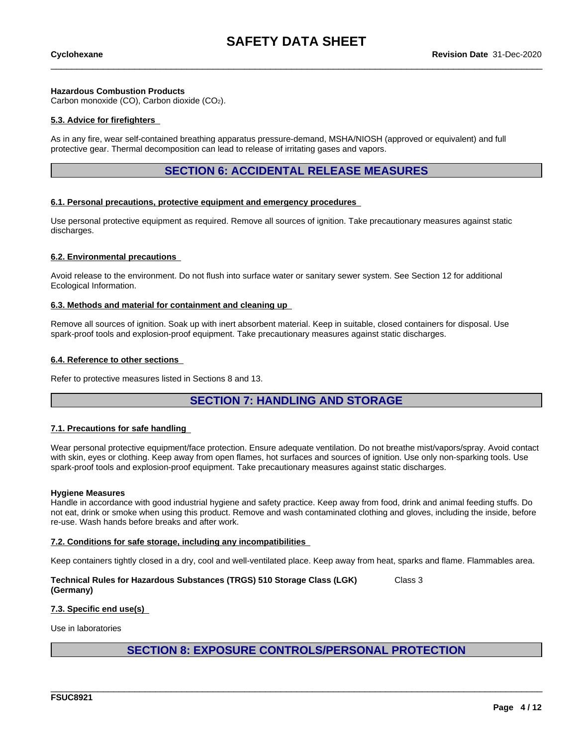#### **Hazardous Combustion Products**

Carbon monoxide (CO), Carbon dioxide (CO2).

#### **5.3. Advice for firefighters**

As in any fire, wear self-contained breathing apparatus pressure-demand, MSHA/NIOSH (approved or equivalent) and full protective gear. Thermal decomposition can lead to release of irritating gases and vapors.

### **SECTION 6: ACCIDENTAL RELEASE MEASURES**

#### **6.1. Personal precautions, protective equipment and emergency procedures**

Use personal protective equipment as required. Remove all sources of ignition. Take precautionary measures against static discharges.

#### **6.2. Environmental precautions**

Avoid release to the environment. Do not flush into surface water or sanitary sewer system. See Section 12 for additional Ecological Information.

#### **6.3. Methods and material for containment and cleaning up**

Remove all sources of ignition. Soak up with inert absorbent material. Keep in suitable, closed containers for disposal. Use spark-proof tools and explosion-proof equipment. Take precautionary measures against static discharges.

#### **6.4. Reference to other sections**

Refer to protective measures listed in Sections 8 and 13.

#### **SECTION 7: HANDLING AND STORAGE**

#### **7.1. Precautions for safe handling**

Wear personal protective equipment/face protection. Ensure adequate ventilation. Do not breathe mist/vapors/spray. Avoid contact with skin, eyes or clothing. Keep away from open flames, hot surfaces and sources of ignition. Use only non-sparking tools. Use spark-proof tools and explosion-proof equipment. Take precautionary measures against static discharges.

#### **Hygiene Measures**

Handle in accordance with good industrial hygiene and safety practice. Keep away from food, drink and animal feeding stuffs. Do not eat, drink or smoke when using this product. Remove and wash contaminated clothing and gloves, including the inside, before re-use. Wash hands before breaks and after work.

#### **7.2. Conditions for safe storage, including any incompatibilities**

Keep containers tightly closed in a dry, cool and well-ventilated place. Keep away from heat, sparks and flame. Flammables area.

**Technical Rules for Hazardous Substances (TRGS) 510 Storage Class (LGK) (Germany)** Class 3

#### **7.3. Specific end use(s)**

Use in laboratories

### **SECTION 8: EXPOSURE CONTROLS/PERSONAL PROTECTION**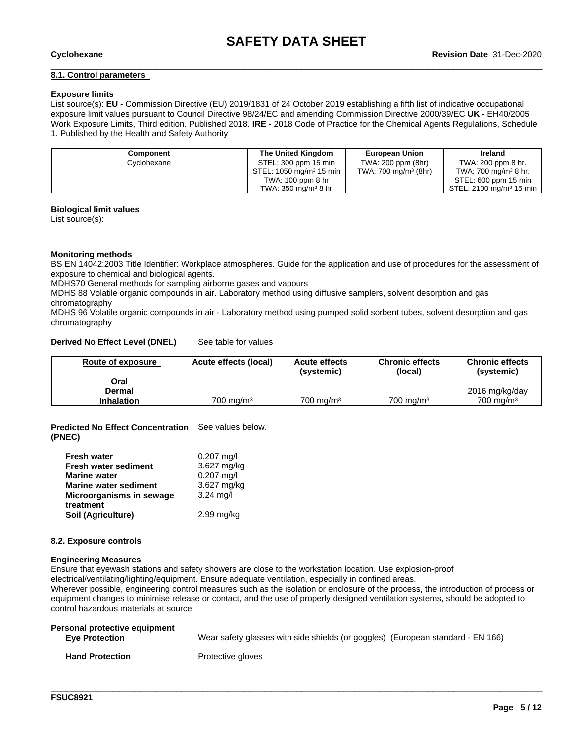#### **8.1. Control parameters**

#### **Exposure limits**

List source(s): **EU** - Commission Directive (EU) 2019/1831 of 24 October 2019 establishing a fifth list ofindicative occupational exposure limit values pursuant to Council Directive 98/24/EC and amending Commission Directive 2000/39/EC UK - EH40/2005 Work Exposure Limits, Third edition. Published 2018. **IRE -** 2018 Code of Practice for the Chemical Agents Regulations, Schedule 1. Published by the Health and Safety Authority

| Component          | The United Kinadom                 | <b>European Union</b>           | Ireland                             |
|--------------------|------------------------------------|---------------------------------|-------------------------------------|
| <b>Cyclohexane</b> | STEL: 300 ppm 15 min               | TWA: 200 ppm (8hr)              | TWA: 200 ppm 8 hr.                  |
|                    | STEL: $1050 \text{ mg/m}^3$ 15 min | TWA: $700 \text{ mg/m}^3$ (8hr) | TWA: 700 mg/m <sup>3</sup> 8 hr.    |
|                    | TWA: 100 ppm 8 hr                  |                                 | STEL: 600 ppm 15 min                |
|                    | TWA: $350 \text{ ma/m}^3$ 8 hr     |                                 | STEL: 2100 mg/m <sup>3</sup> 15 min |

#### **Biological limit values**

List source(s):

#### **Monitoring methods**

BS EN 14042:2003 Title Identifier: Workplace atmospheres. Guide for the application and use of procedures for the assessment of exposure to chemical and biological agents.

MDHS70 General methods for sampling airborne gases and vapours

MDHS 88 Volatile organic compounds in air. Laboratory method using diffusive samplers, solvent desorption and gas chromatography

MDHS 96 Volatile organic compounds in air - Laboratory method using pumped solid sorbent tubes, solvent desorption and gas chromatography

#### **Derived No Effect Level (DNEL)** See table for values

| Route of exposure | Acute effects (local) | <b>Acute effects</b><br>(systemic) | <b>Chronic effects</b><br>(local) | <b>Chronic effects</b><br>(systemic) |
|-------------------|-----------------------|------------------------------------|-----------------------------------|--------------------------------------|
| Oral              |                       |                                    |                                   |                                      |
| Dermal            |                       |                                    |                                   | 2016 mg/kg/day                       |
| <b>Inhalation</b> | $700 \text{ ma/m}^3$  | 700 mg/m $3$                       | $700 \text{ ma/m}^3$              | $700 \text{ ma/m}^3$                 |

**Predicted No Effect Concentration** See values below. **(PNEC)**

| <b>Fresh water</b>              | $0.207$ mg/l |
|---------------------------------|--------------|
| <b>Fresh water sediment</b>     | 3.627 mg/kg  |
| <b>Marine water</b>             | $0.207$ mg/l |
| <b>Marine water sediment</b>    | 3.627 mg/kg  |
| Microorganisms in sewage        | $3.24$ mg/l  |
| treatment<br>Soil (Agriculture) | $2.99$ mg/kg |

#### **8.2. Exposure controls**

#### **Engineering Measures**

Ensure that eyewash stations and safety showers are close to the workstation location. Use explosion-proof

electrical/ventilating/lighting/equipment. Ensure adequate ventilation, especially in confined areas.

Wherever possible, engineering control measures such as the isolation or enclosure of the process, the introduction of process or equipment changes to minimise release or contact, and the use of properly designed ventilation systems, should be adopted to control hazardous materials at source

| Personal protective equipment<br><b>Eve Protection</b> | Wear safety glasses with side shields (or goggles) (European standard - EN 166) |
|--------------------------------------------------------|---------------------------------------------------------------------------------|
| <b>Hand Protection</b>                                 | Protective gloves                                                               |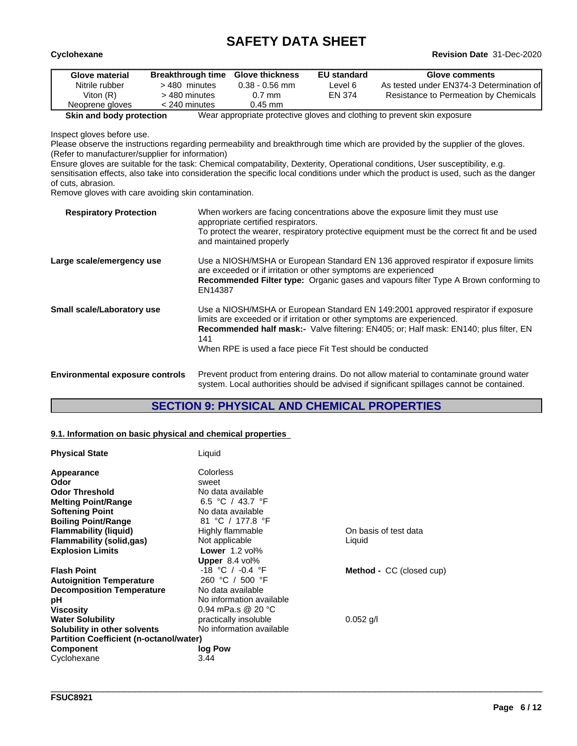| Cyclohexane     |                          |                        |                    | <b>Revision Date 31-Dec-2020</b>         |
|-----------------|--------------------------|------------------------|--------------------|------------------------------------------|
| Glove material  | <b>Breakthrough time</b> | <b>Glove thickness</b> | <b>EU standard</b> | <b>Glove comments</b>                    |
| Nitrile rubber  | $>$ 480 minutes          | $0.38 - 0.56$ mm       | ∟evel 6            | As tested under EN374-3 Determination of |
| Viton $(R)$     | > 480 minutes            | $0.7$ mm               | EN 374             | Resistance to Permeation by Chemicals    |
| Neoprene gloves | $<$ 240 minutes          | $0.45$ mm              |                    |                                          |

**Skin and body protection** Wear appropriate protective gloves and clothing to prevent skin exposure

Inspect gloves before use.

Please observe the instructions regarding permeability and breakthrough time which are provided by the supplier of the gloves. (Refer to manufacturer/supplier for information)

Ensure gloves are suitable for the task: Chemical compatability, Dexterity, Operational conditions, User susceptibility, e.g. sensitisation effects, also take into consideration the specific local conditions under which the product is used, such as the danger of cuts, abrasion.

Remove gloves with care avoiding skin contamination.

| <b>Respiratory Protection</b>          | When workers are facing concentrations above the exposure limit they must use<br>appropriate certified respirators.<br>To protect the wearer, respiratory protective equipment must be the correct fit and be used<br>and maintained properly                                                                                     |
|----------------------------------------|-----------------------------------------------------------------------------------------------------------------------------------------------------------------------------------------------------------------------------------------------------------------------------------------------------------------------------------|
| Large scale/emergency use              | Use a NIOSH/MSHA or European Standard EN 136 approved respirator if exposure limits<br>are exceeded or if irritation or other symptoms are experienced<br><b>Recommended Filter type:</b> Organic gases and vapours filter Type A Brown conforming to<br>EN14387                                                                  |
| Small scale/Laboratory use             | Use a NIOSH/MSHA or European Standard EN 149:2001 approved respirator if exposure<br>limits are exceeded or if irritation or other symptoms are experienced.<br><b>Recommended half mask:-</b> Valve filtering: EN405; or: Half mask: EN140; plus filter, EN<br>141<br>When RPE is used a face piece Fit Test should be conducted |
| <b>Environmental exposure controls</b> | Prevent product from entering drains. Do not allow material to contaminate ground water                                                                                                                                                                                                                                           |

system. Local authorities should be advised if significant spillages cannot be contained.

### **SECTION 9: PHYSICAL AND CHEMICAL PROPERTIES**

\_\_\_\_\_\_\_\_\_\_\_\_\_\_\_\_\_\_\_\_\_\_\_\_\_\_\_\_\_\_\_\_\_\_\_\_\_\_\_\_\_\_\_\_\_\_\_\_\_\_\_\_\_\_\_\_\_\_\_\_\_\_\_\_\_\_\_\_\_\_\_\_\_\_\_\_\_\_\_\_\_\_\_\_\_\_\_\_\_\_\_\_\_\_

#### **9.1. Information on basic physical and chemical properties**

| <b>Physical State</b>                          | Liquid                   |                                 |  |
|------------------------------------------------|--------------------------|---------------------------------|--|
| Appearance                                     | Colorless                |                                 |  |
| Odor                                           | sweet                    |                                 |  |
| <b>Odor Threshold</b>                          | No data available        |                                 |  |
| <b>Melting Point/Range</b>                     | 6.5 °C / 43.7 °F         |                                 |  |
| <b>Softening Point</b>                         | No data available        |                                 |  |
| <b>Boiling Point/Range</b>                     | 81 °C / 177.8 °F         |                                 |  |
| <b>Flammability (liquid)</b>                   | Highly flammable         | On basis of test data           |  |
| <b>Flammability (solid,gas)</b>                | Not applicable           | Liquid                          |  |
| <b>Explosion Limits</b>                        | <b>Lower</b> $1.2$ vol%  |                                 |  |
|                                                | Upper $8.4$ vol%         |                                 |  |
| <b>Flash Point</b>                             | $-18$ °C / $-0.4$ °F     | <b>Method - CC (closed cup)</b> |  |
| <b>Autoignition Temperature</b>                | 260 °C / 500 °F          |                                 |  |
| <b>Decomposition Temperature</b>               | No data available        |                                 |  |
| рH                                             | No information available |                                 |  |
| <b>Viscosity</b>                               | 0.94 mPa.s @ 20 °C       |                                 |  |
| <b>Water Solubility</b>                        | practically insoluble    | $0.052$ g/l                     |  |
| Solubility in other solvents                   | No information available |                                 |  |
| <b>Partition Coefficient (n-octanol/water)</b> |                          |                                 |  |
| <b>Component</b>                               | log Pow                  |                                 |  |
| Cyclohexane                                    | 3.44                     |                                 |  |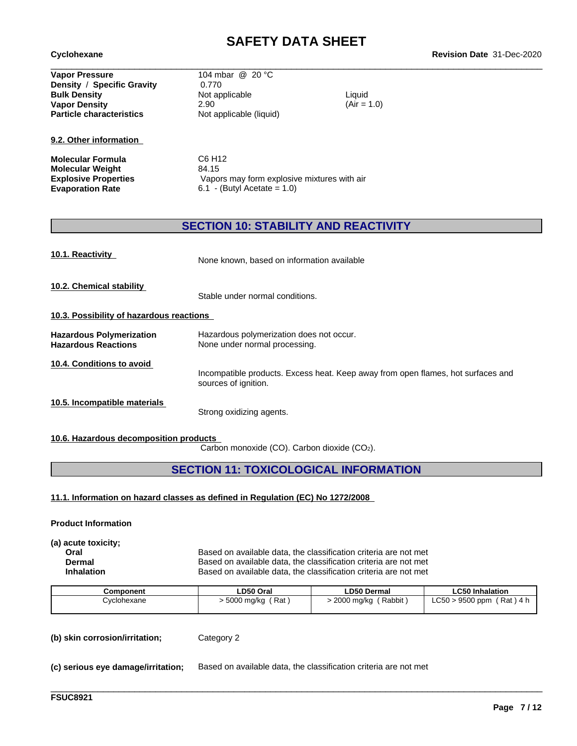**Particle characteristics** Not applicable (liquid) **Vapor Pressure** 104 mbar @ 20 °C **Density** / **Specific Gravity** 0.770 **Bulk Density Contract Contract Contract Contract Contract Contract Contract Contract Contract Contract Contract Contract Contract Contract Contract Contract Contract Contract Contract Contract Contract Contract Contract Vapor Density** 2.90

**9.2. Other information**

**Molecular Formula** C6 H12 **Molecular Weight** 84.15

 $(Air = 1.0)$ 

**Explosive Properties** Vapors may form explosive mixtures with air **Evaporation Rate** 6.1 - (Butyl Acetate = 1.0)

### **SECTION 10: STABILITY AND REACTIVITY**

| 10.1. Reactivity                                              | None known, based on information available                                                               |
|---------------------------------------------------------------|----------------------------------------------------------------------------------------------------------|
| 10.2. Chemical stability                                      | Stable under normal conditions.                                                                          |
| 10.3. Possibility of hazardous reactions                      |                                                                                                          |
| <b>Hazardous Polymerization</b><br><b>Hazardous Reactions</b> | Hazardous polymerization does not occur.<br>None under normal processing.                                |
| 10.4. Conditions to avoid                                     | Incompatible products. Excess heat. Keep away from open flames, hot surfaces and<br>sources of ignition. |
| 10.5. Incompatible materials                                  | Strong oxidizing agents.                                                                                 |

#### **10.6. Hazardous decomposition products**

Carbon monoxide (CO). Carbon dioxide (CO2).

**SECTION 11: TOXICOLOGICAL INFORMATION**

**11.1. Information on hazard classes as defined in Regulation (EC) No 1272/2008**

**Product Information**

**(a) acute toxicity;**

**Oral** Based on available data, the classification criteria are not met **Dermal** Based on available data, the classification criteria are not met **Inhalation** Based on available data, the classification criteria are not met

\_\_\_\_\_\_\_\_\_\_\_\_\_\_\_\_\_\_\_\_\_\_\_\_\_\_\_\_\_\_\_\_\_\_\_\_\_\_\_\_\_\_\_\_\_\_\_\_\_\_\_\_\_\_\_\_\_\_\_\_\_\_\_\_\_\_\_\_\_\_\_\_\_\_\_\_\_\_\_\_\_\_\_\_\_\_\_\_\_\_\_\_\_\_

| Component   | LD50 Oral         | <b>LD50 Dermal</b>   | <b>LC50 Inhalation</b>                           |
|-------------|-------------------|----------------------|--------------------------------------------------|
| Cvclohexane | Rat<br>5000 mg/kg | Rabbit<br>2000 ma/ka | $\sim$ $\sim$<br>9500 ppm<br>Rat ) 4 h<br>-C50 * |
|             |                   |                      |                                                  |

**(b) skin corrosion/irritation;** Category 2

**(c) serious eye damage/irritation;** Based on available data, the classification criteria are not met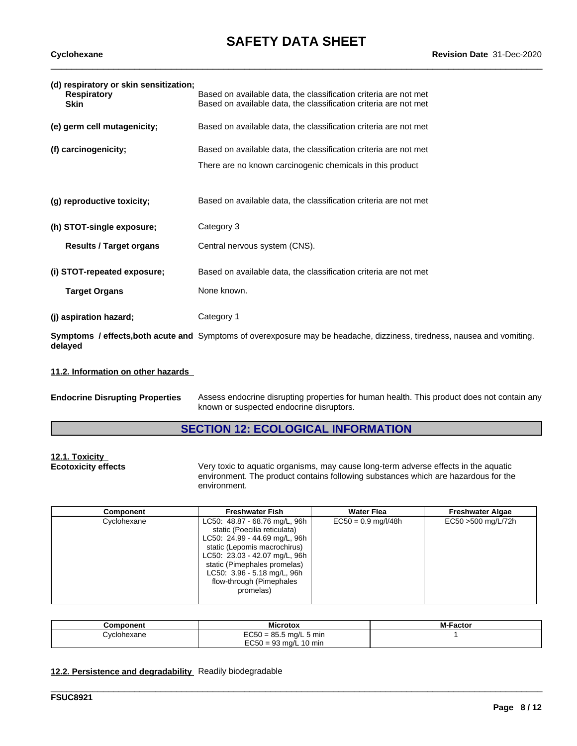| (d) respiratory or skin sensitization;<br><b>Respiratory</b><br><b>Skin</b> | Based on available data, the classification criteria are not met<br>Based on available data, the classification criteria are not met |
|-----------------------------------------------------------------------------|--------------------------------------------------------------------------------------------------------------------------------------|
| (e) germ cell mutagenicity;                                                 | Based on available data, the classification criteria are not met                                                                     |
| (f) carcinogenicity;                                                        | Based on available data, the classification criteria are not met                                                                     |
|                                                                             | There are no known carcinogenic chemicals in this product                                                                            |
| (g) reproductive toxicity;                                                  | Based on available data, the classification criteria are not met                                                                     |
| (h) STOT-single exposure;                                                   | Category 3                                                                                                                           |
| <b>Results / Target organs</b>                                              | Central nervous system (CNS).                                                                                                        |
| (i) STOT-repeated exposure;                                                 | Based on available data, the classification criteria are not met                                                                     |
| <b>Target Organs</b>                                                        | None known.                                                                                                                          |
| (j) aspiration hazard;                                                      | Category 1                                                                                                                           |
| delayed                                                                     | Symptoms / effects, both acute and Symptoms of overexposure may be headache, dizziness, tiredness, nausea and vomiting.              |

#### **11.2. Information on other hazards**

| <b>Endocrine Disrupting Properties</b> | Assess endocrine disrupting properties for human health. This product does not contain any |
|----------------------------------------|--------------------------------------------------------------------------------------------|
|                                        | known or suspected endocrine disruptors.                                                   |

# **SECTION 12: ECOLOGICAL INFORMATION**

| 12.1. Toxicity             |  |
|----------------------------|--|
| <b>Ecotoxicity effects</b> |  |

**Example 3** Very toxic to aquatic organisms, may cause long-term adverse effects in the aquatic environment. The product contains following substances which are hazardous for the environment.

\_\_\_\_\_\_\_\_\_\_\_\_\_\_\_\_\_\_\_\_\_\_\_\_\_\_\_\_\_\_\_\_\_\_\_\_\_\_\_\_\_\_\_\_\_\_\_\_\_\_\_\_\_\_\_\_\_\_\_\_\_\_\_\_\_\_\_\_\_\_\_\_\_\_\_\_\_\_\_\_\_\_\_\_\_\_\_\_\_\_\_\_\_\_

| $EC50 = 0.9$ mg/l/48h<br>Cyclohexane<br>EC50 >500 mg/L/72h<br>LC50: 48.87 - 68.76 mg/L, 96h<br>static (Poecilia reticulata)<br>LC50: 24.99 - 44.69 mg/L, 96h<br>static (Lepomis macrochirus)<br>LC50: 23.03 - 42.07 mg/L, 96h<br>static (Pimephales promelas) |
|---------------------------------------------------------------------------------------------------------------------------------------------------------------------------------------------------------------------------------------------------------------|
| LC50: 3.96 - 5.18 mg/L, 96h<br>flow-through (Pimephales<br>promelas)                                                                                                                                                                                          |

| Component           | crotox                                              | <b>M-Factor</b> |
|---------------------|-----------------------------------------------------|-----------------|
| <i>:</i> ∨clohexane | $350 = 85.5$ mg/L 5 min<br>ືບບ∪⊵                    |                 |
|                     | EC50<br>$\sim$<br>$10 \text{ min}$<br>ີ 1 = 93 mg/L |                 |

#### **12.2. Persistence and degradability** Readily biodegradable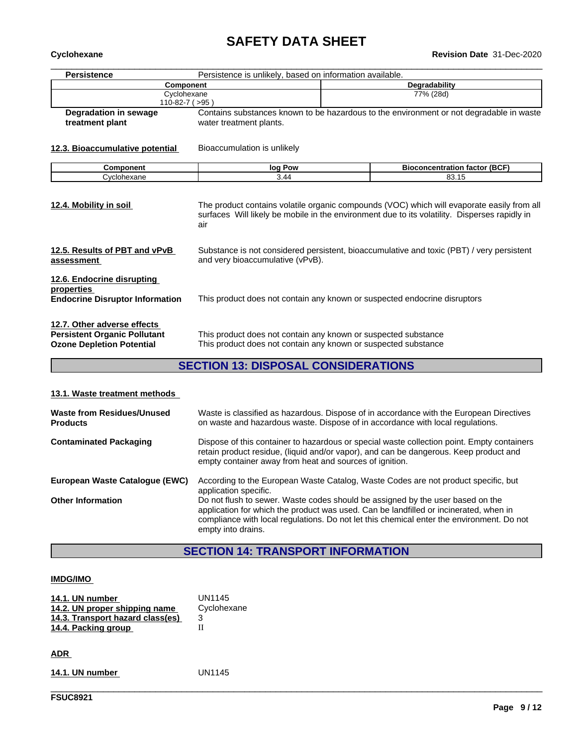# **SAFETY DATA SHEET**<br>Revision Date 31-Dec-2020

| Cyclohexane                                                                                            |                                                                                                                                  | <b>Revision Date 31-Dec-2020</b>                                                              |  |
|--------------------------------------------------------------------------------------------------------|----------------------------------------------------------------------------------------------------------------------------------|-----------------------------------------------------------------------------------------------|--|
| <b>Persistence</b>                                                                                     | Persistence is unlikely, based on information available.                                                                         |                                                                                               |  |
| <b>Component</b>                                                                                       |                                                                                                                                  | Degradability                                                                                 |  |
| Cyclohexane<br>$110-82-7$ ( $>95$ )                                                                    |                                                                                                                                  | 77% (28d)                                                                                     |  |
| <b>Degradation in sewage</b>                                                                           | Contains substances known to be hazardous to the environment or not degradable in waste                                          |                                                                                               |  |
| treatment plant                                                                                        | water treatment plants.                                                                                                          |                                                                                               |  |
| 12.3. Bioaccumulative potential                                                                        | Bioaccumulation is unlikely                                                                                                      |                                                                                               |  |
| Component                                                                                              | log Pow                                                                                                                          | <b>Bioconcentration factor (BCF)</b>                                                          |  |
| Cyclohexane                                                                                            | 3.44                                                                                                                             | 83.15                                                                                         |  |
|                                                                                                        | air                                                                                                                              | surfaces Will likely be mobile in the environment due to its volatility. Disperses rapidly in |  |
| 12.5. Results of PBT and vPvB<br>assessment                                                            | Substance is not considered persistent, bioaccumulative and toxic (PBT) / very persistent<br>and very bioaccumulative (vPvB).    |                                                                                               |  |
| 12.6. Endocrine disrupting<br>properties<br><b>Endocrine Disruptor Information</b>                     | This product does not contain any known or suspected endocrine disruptors                                                        |                                                                                               |  |
| 12.7. Other adverse effects<br><b>Persistent Organic Pollutant</b><br><b>Ozone Depletion Potential</b> | This product does not contain any known or suspected substance<br>This product does not contain any known or suspected substance |                                                                                               |  |
|                                                                                                        | <b>OFOTION 10 DIODOOAL OQNOIDED ATIONS</b>                                                                                       |                                                                                               |  |

#### **SECTION 13: DISPOSAL CONSIDERATIONS**

#### **13.1. Waste treatment methods**

| Waste from Residues/Unused<br><b>Products</b> | Waste is classified as hazardous. Dispose of in accordance with the European Directives<br>on waste and hazardous waste. Dispose of in accordance with local regulations.                                                                                                                  |
|-----------------------------------------------|--------------------------------------------------------------------------------------------------------------------------------------------------------------------------------------------------------------------------------------------------------------------------------------------|
| <b>Contaminated Packaging</b>                 | Dispose of this container to hazardous or special waste collection point. Empty containers<br>retain product residue, (liquid and/or vapor), and can be dangerous. Keep product and<br>empty container away from heat and sources of ignition.                                             |
| European Waste Catalogue (EWC)                | According to the European Waste Catalog, Waste Codes are not product specific, but<br>application specific.                                                                                                                                                                                |
| <b>Other Information</b>                      | Do not flush to sewer. Waste codes should be assigned by the user based on the<br>application for which the product was used. Can be landfilled or incinerated, when in<br>compliance with local regulations. Do not let this chemical enter the environment. Do not<br>empty into drains. |

# **SECTION 14: TRANSPORT INFORMATION**

\_\_\_\_\_\_\_\_\_\_\_\_\_\_\_\_\_\_\_\_\_\_\_\_\_\_\_\_\_\_\_\_\_\_\_\_\_\_\_\_\_\_\_\_\_\_\_\_\_\_\_\_\_\_\_\_\_\_\_\_\_\_\_\_\_\_\_\_\_\_\_\_\_\_\_\_\_\_\_\_\_\_\_\_\_\_\_\_\_\_\_\_\_\_

#### **IMDG/IMO**

| 14.1. UN number                  | UN1145      |
|----------------------------------|-------------|
| 14.2. UN proper shipping name    | Cyclohexane |
| 14.3. Transport hazard class(es) | 3           |
| 14.4. Packing group              |             |
|                                  |             |
| <b>ADR</b>                       |             |

**14.1. UN number** UN1145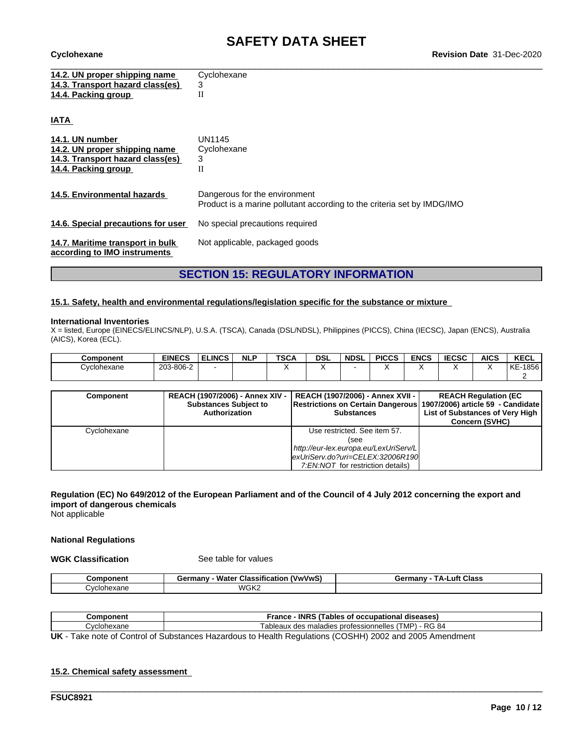\_\_\_\_\_\_\_\_\_\_\_\_\_\_\_\_\_\_\_\_\_\_\_\_\_\_\_\_\_\_\_\_\_\_\_\_\_\_\_\_\_\_\_\_\_\_\_\_\_\_\_\_\_\_\_\_\_\_\_\_\_\_\_\_\_\_\_\_\_\_\_\_\_\_\_\_\_\_\_\_\_\_\_\_\_\_\_\_\_\_\_\_\_\_ **Cyclohexane Revision Date** 31-Dec-2020

**IATA** 

| 14.2. UN proper shipping name    | Cyclohexane |
|----------------------------------|-------------|
| 14.3. Transport hazard class(es) |             |
| 14.4. Packing group              |             |
|                                  |             |
|                                  |             |

| 14.1. UN number<br>14.2. UN proper shipping name<br>14.3. Transport hazard class(es)<br>14.4. Packing group | UN1145<br>Cyclohexane<br>3                                                                               |
|-------------------------------------------------------------------------------------------------------------|----------------------------------------------------------------------------------------------------------|
| 14.5. Environmental hazards                                                                                 | Dangerous for the environment<br>Product is a marine pollutant according to the criteria set by IMDG/IMO |
| 14.6. Special precautions for user                                                                          | No special precautions required                                                                          |
| 14.7. Maritime transport in bulk<br>according to IMO instruments                                            | Not applicable, packaged goods                                                                           |

## **SECTION 15: REGULATORY INFORMATION**

#### **15.1. Safety, health and environmental regulations/legislation specific for the substance or mixture**

#### **International Inventories**

X = listed, Europe (EINECS/ELINCS/NLP), U.S.A. (TSCA), Canada (DSL/NDSL), Philippines (PICCS), China (IECSC), Japan (ENCS), Australia (AICS), Korea (ECL).

| <b>Component</b> | <b>EINECS</b>                | <b>ELINCS</b> | <b>NLF</b> | <b>TSCA</b> | <b>DSL</b> | <b>NDSL</b> | <b>PICCS</b> | <b>ENCS</b> | IFABA<br>ะบอน | <b>AICS</b> | <b>KECL</b> |
|------------------|------------------------------|---------------|------------|-------------|------------|-------------|--------------|-------------|---------------|-------------|-------------|
| Cyclohexane      | 3-806-<br>$\sim$<br>203<br>س |               |            |             |            |             |              |             |               |             | KE-1856     |
|                  |                              |               |            |             |            |             |              |             |               |             |             |

| <b>Component</b> | <b>REACH (1907/2006) - Annex XIV -</b><br><b>Substances Subject to</b><br>Authorization | REACH (1907/2006) - Annex XVII -  <br>Restrictions on Certain Dangerous (1907/2006) article 59 - Candidate<br><b>Substances</b> | <b>REACH Regulation (EC</b><br>List of Substances of Very High<br><b>Concern (SVHC)</b> |
|------------------|-----------------------------------------------------------------------------------------|---------------------------------------------------------------------------------------------------------------------------------|-----------------------------------------------------------------------------------------|
| Cyclohexane      |                                                                                         | Use restricted. See item 57.                                                                                                    |                                                                                         |
|                  |                                                                                         | (see                                                                                                                            |                                                                                         |
|                  |                                                                                         | http://eur-lex.europa.eu/LexUriServ/L                                                                                           |                                                                                         |
|                  |                                                                                         | lexUriServ.do?uri=CELEX:32006R190                                                                                               |                                                                                         |
|                  |                                                                                         | 7:EN:NOT for restriction details)                                                                                               |                                                                                         |

#### Regulation (EC) No 649/2012 of the European Parliament and of the Council of 4 July 2012 concerning the export and **import of dangerous chemicals**

Not applicable

#### **National Regulations**

**WGK Classification** See table for values

| .           | ---<br>Water<br>'VwVwS.<br>:armanu<br><b>Classificatio</b><br>uc | <b>Class</b><br>.uft<br>ermanvش<br>тΔ. |
|-------------|------------------------------------------------------------------|----------------------------------------|
| :vclohexane | WGK2                                                             |                                        |

| Component        | <b>INRS</b><br>$\sim$<br>Cables of<br>France<br>diseases<br>occupational              |
|------------------|---------------------------------------------------------------------------------------|
| clohexane<br>vc' | - RG 84<br>[MP)<br>s maladies professionnelles<br>$\sim$<br>ableaux<br>$\overline{u}$ |
|                  |                                                                                       |

\_\_\_\_\_\_\_\_\_\_\_\_\_\_\_\_\_\_\_\_\_\_\_\_\_\_\_\_\_\_\_\_\_\_\_\_\_\_\_\_\_\_\_\_\_\_\_\_\_\_\_\_\_\_\_\_\_\_\_\_\_\_\_\_\_\_\_\_\_\_\_\_\_\_\_\_\_\_\_\_\_\_\_\_\_\_\_\_\_\_\_\_\_\_

**UK** - Take note of Control of Substances Hazardous to Health Regulations (COSHH) 2002 and 2005 Amendment

#### **15.2. Chemical safety assessment**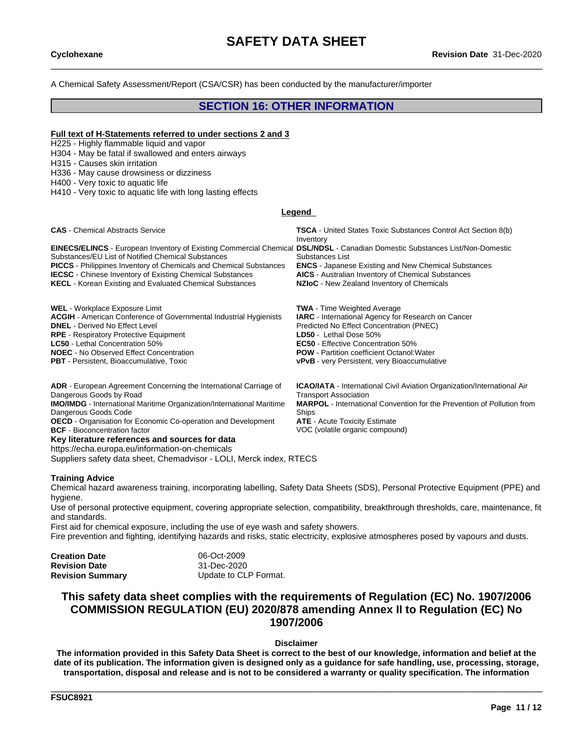A Chemical Safety Assessment/Report (CSA/CSR) has been conducted by the manufacturer/importer

### **SECTION 16: OTHER INFORMATION**

#### **Full text of H-Statements referred to undersections 2 and 3**

H225 - Highly flammable liquid and vapor

H304 - May be fatal if swallowed and enters airways

H315 - Causes skin irritation

H336 - May cause drowsiness or dizziness

H400 - Very toxic to aquatic life

H410 - Very toxic to aquatic life with long lasting effects

#### **Legend**

| <b>CAS</b> - Chemical Abstracts Service                                                                                                                                                                                                                                                                                                                                                                       | <b>TSCA</b> - United States Toxic Substances Control Act Section 8(b)<br>Inventory                                                                                                        |
|---------------------------------------------------------------------------------------------------------------------------------------------------------------------------------------------------------------------------------------------------------------------------------------------------------------------------------------------------------------------------------------------------------------|-------------------------------------------------------------------------------------------------------------------------------------------------------------------------------------------|
| <b>EINECS/ELINCS</b> - European Inventory of Existing Commercial Chemical DSL/NDSL - Canadian Domestic Substances List/Non-Domestic<br>Substances/EU List of Notified Chemical Substances<br><b>PICCS</b> - Philippines Inventory of Chemicals and Chemical Substances<br><b>IECSC</b> - Chinese Inventory of Existing Chemical Substances<br><b>KECL</b> - Korean Existing and Evaluated Chemical Substances | Substances List<br><b>ENCS</b> - Japanese Existing and New Chemical Substances<br><b>AICS</b> - Australian Inventory of Chemical Substances<br>NZIOC - New Zealand Inventory of Chemicals |
| <b>WEL</b> - Workplace Exposure Limit                                                                                                                                                                                                                                                                                                                                                                         | <b>TWA</b> - Time Weighted Average                                                                                                                                                        |
| <b>ACGIH</b> - American Conference of Governmental Industrial Hygienists                                                                                                                                                                                                                                                                                                                                      | <b>IARC</b> - International Agency for Research on Cancer                                                                                                                                 |
| <b>DNEL</b> - Derived No Effect Level                                                                                                                                                                                                                                                                                                                                                                         | Predicted No Effect Concentration (PNEC)                                                                                                                                                  |
| <b>RPE</b> - Respiratory Protective Equipment                                                                                                                                                                                                                                                                                                                                                                 | LD50 - Lethal Dose 50%                                                                                                                                                                    |
| <b>LC50</b> - Lethal Concentration 50%                                                                                                                                                                                                                                                                                                                                                                        | <b>EC50</b> - Effective Concentration 50%                                                                                                                                                 |
| <b>NOEC</b> - No Observed Effect Concentration                                                                                                                                                                                                                                                                                                                                                                | <b>POW</b> - Partition coefficient Octanol: Water                                                                                                                                         |

**PBT** - Persistent, Bioaccumulative, Toxic **very Property Communisties** very Persistent, very Bioaccumulative

Ships

Transport Association

**ICAO/IATA** - International Civil Aviation Organization/International Air

**MARPOL** - International Convention for the Prevention of Pollution from

**ADR** - European Agreement Concerning the International Carriage of Dangerous Goods by Road

**IMO/IMDG** - International Maritime Organization/International Maritime Dangerous Goods Code

**OECD** - Organisation for Economic Co-operation and Development **ATE** - Acute Toxicity Estimate **BCF** - Bioconcentration factor **VOC** (volatile organic compound)

**Key literature references and sources for data**

https://echa.europa.eu/information-on-chemicals

Suppliers safety data sheet, Chemadvisor - LOLI, Merck index, RTECS

#### **Training Advice**

Chemical hazard awareness training, incorporating labelling, Safety Data Sheets (SDS), Personal Protective Equipment (PPE) and hygiene.

Use of personal protective equipment, covering appropriate selection, compatibility, breakthrough thresholds, care, maintenance, fit and standards.

First aid for chemical exposure, including the use of eye wash and safety showers.<br>Fire prevention and fighting, identifying hazards and risks, static electricity, explosive atmospheres posed by vapours and dusts.

| <b>Creation Date</b>    | 06-Oct-2009           |  |
|-------------------------|-----------------------|--|
| <b>Revision Date</b>    | 31-Dec-2020           |  |
| <b>Revision Summary</b> | Update to CLP Format. |  |

### **This safety data sheet complies with the requirements of Regulation (EC) No. 1907/2006 COMMISSION REGULATION (EU) 2020/878 amending Annex II to Regulation (EC) No 1907/2006**

#### **Disclaimer**

The information provided in this Safety Data Sheet is correct to the best of our knowledge, information and belief at the date of its publication. The information given is designed only as a guidance for safe handling, use, processing, storage, transportation, disposal and release and is not to be considered a warranty or quality specification. The information